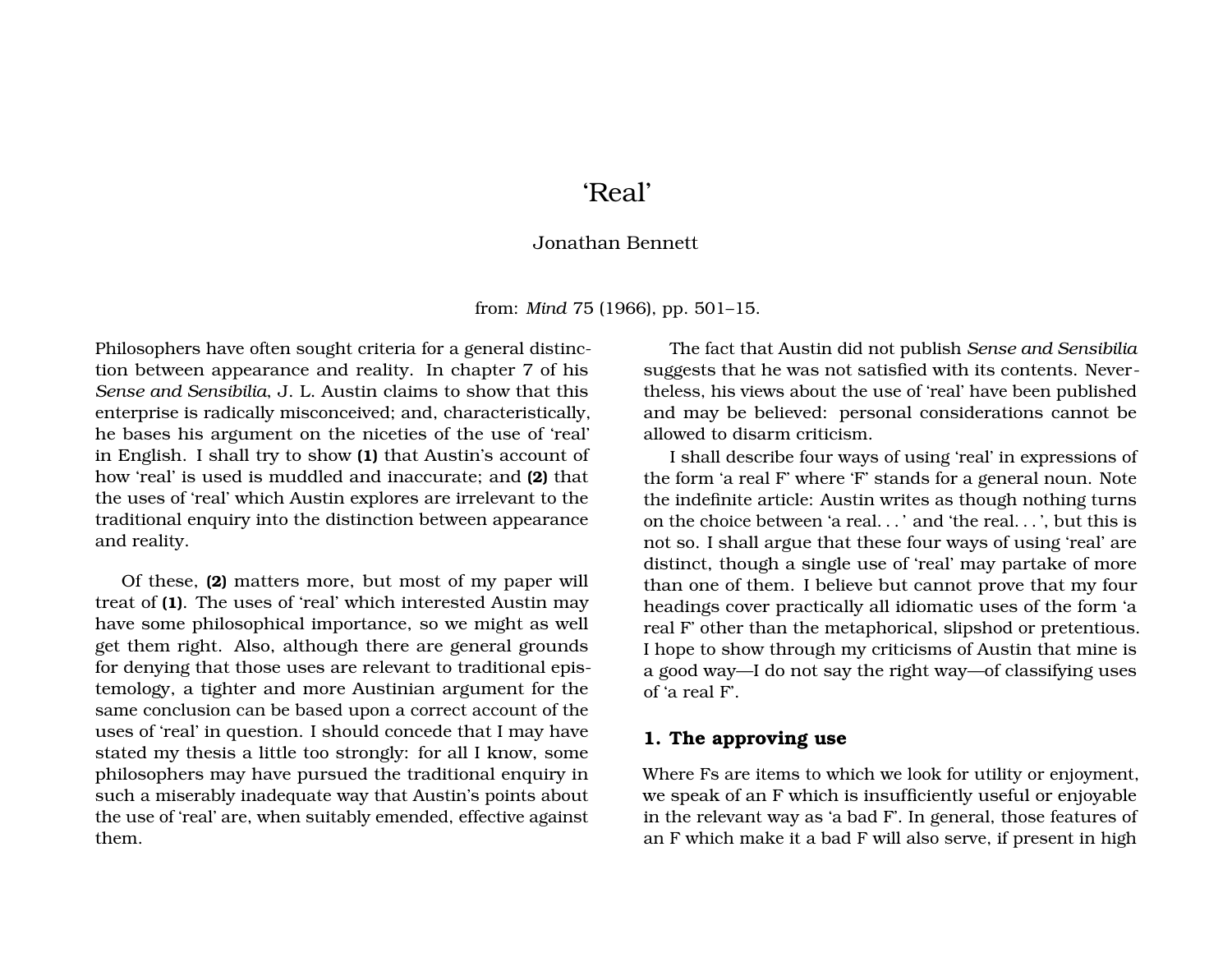# 'Real'

#### Jonathan Bennett

from: *Mind* 75 (1966), pp. 501–15.

Philosophers have often sought criteria for a general distinction between appearance and reality. In chapter 7 of his *Sense and Sensibilia*, J. L. Austin claims to show that this enterprise is radically misconceived; and, characteristically, he bases his argument on the niceties of the use of 'real' in English. I shall try to show **(1)** that Austin's account of how 'real' is used is muddled and inaccurate; and **(2)** that the uses of 'real' which Austin explores are irrelevant to the traditional enquiry into the distinction between appearance and reality.

Of these, **(2)** matters more, but most of my paper will treat of **(1)**. The uses of 'real' which interested Austin may have some philosophical importance, so we might as well get them right. Also, although there are general grounds for denying that those uses are relevant to traditional epistemology, a tighter and more Austinian argument for the same conclusion can be based upon a correct account of the uses of 'real' in question. I should concede that I may have stated my thesis a little too strongly: for all I know, some philosophers may have pursued the traditional enquiry in such a miserably inadequate way that Austin's points about the use of 'real' are, when suitably emended, effective against them.

The fact that Austin did not publish *Sense and Sensibilia* suggests that he was not satisfied with its contents. Nevertheless, his views about the use of 'real' have been published and may be believed: personal considerations cannot be allowed to disarm criticism.

I shall describe four ways of using 'real' in expressions of the form 'a real F' where 'F' stands for a general noun. Note the indefinite article: Austin writes as though nothing turns on the choice between 'a real. . . ' and 'the real. . . ', but this is not so. I shall argue that these four ways of using 'real' are distinct, though a single use of 'real' may partake of more than one of them. I believe but cannot prove that my four headings cover practically all idiomatic uses of the form 'a real F' other than the metaphorical, slipshod or pretentious. I hope to show through my criticisms of Austin that mine is a good way—I do not say the right way—of classifying uses of 'a real F'.

## **1. The approving use**

Where Fs are items to which we look for utility or enjoyment, we speak of an F which is insufficiently useful or enjoyable in the relevant way as 'a bad F'. In general, those features of an F which make it a bad F will also serve, if present in high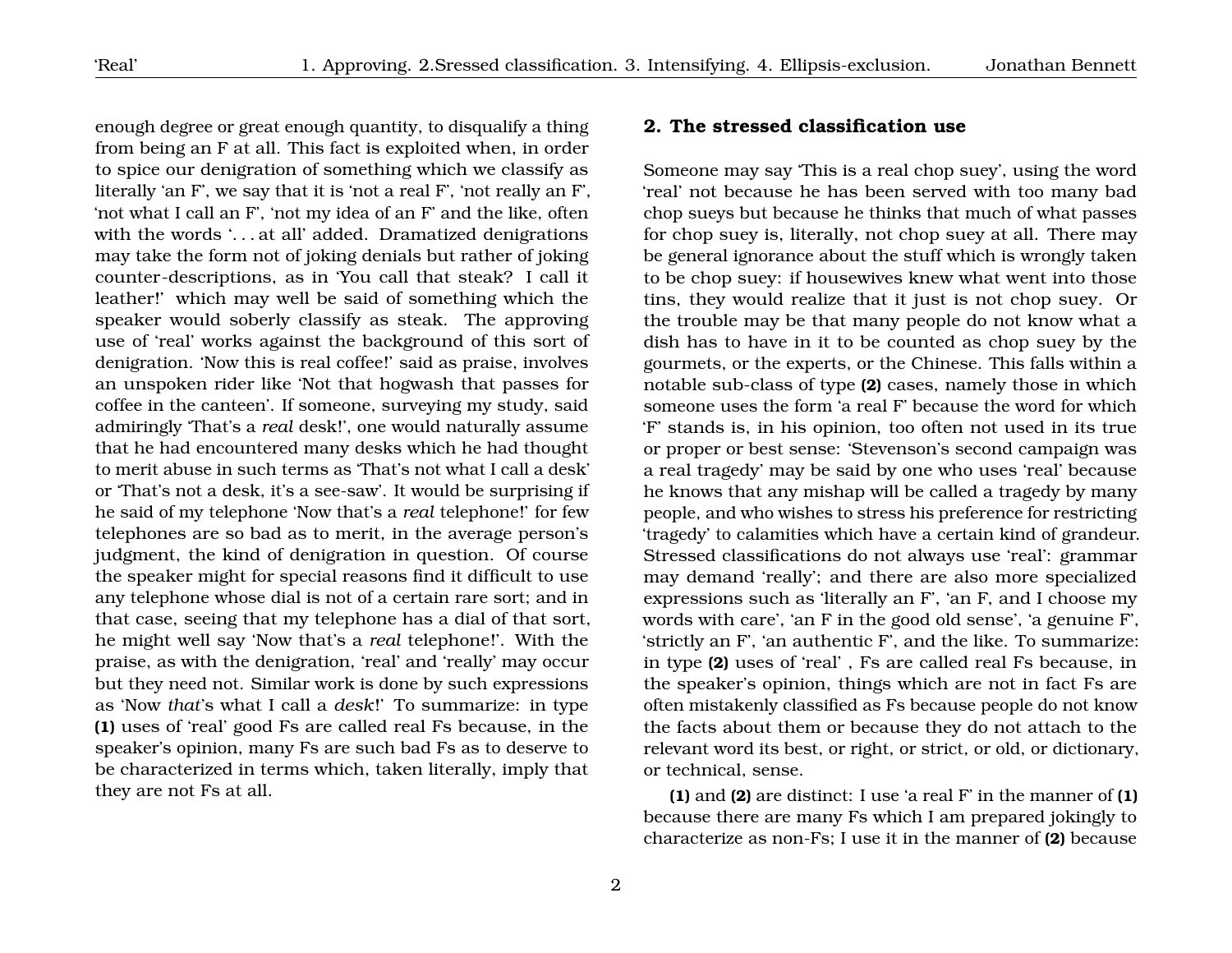enough degree or great enough quantity, to disqualify a thing from being an F at all. This fact is exploited when, in order to spice our denigration of something which we classify as literally 'an F', we say that it is 'not a real F', 'not really an F', 'not what I call an F', 'not my idea of an F' and the like, often with the words '... at all' added. Dramatized denigrations may take the form not of joking denials but rather of joking counter-descriptions, as in 'You call that steak? I call it leather!' which may well be said of something which the speaker would soberly classify as steak. The approving use of 'real' works against the background of this sort of denigration. 'Now this is real coffee!' said as praise, involves an unspoken rider like 'Not that hogwash that passes for coffee in the canteen'. If someone, surveying my study, said admiringly 'That's a *real* desk!', one would naturally assume that he had encountered many desks which he had thought to merit abuse in such terms as 'That's not what I call a desk' or 'That's not a desk, it's a see-saw'. It would be surprising if he said of my telephone 'Now that's a *real* telephone!' for few telephones are so bad as to merit, in the average person's judgment, the kind of denigration in question. Of course the speaker might for special reasons find it difficult to use any telephone whose dial is not of a certain rare sort; and in that case, seeing that my telephone has a dial of that sort, he might well say 'Now that's a *real* telephone!'. With the praise, as with the denigration, 'real' and 'really' may occur but they need not. Similar work is done by such expressions as 'Now *that*'s what I call a *desk*!' To summarize: in type **(1)** uses of 'real' good Fs are called real Fs because, in the speaker's opinion, many Fs are such bad Fs as to deserve to be characterized in terms which, taken literally, imply that they are not Fs at all.

#### **2. The stressed classification use**

Someone may say 'This is a real chop suey', using the word 'real' not because he has been served with too many bad chop sueys but because he thinks that much of what passes for chop suey is, literally, not chop suey at all. There may be general ignorance about the stuff which is wrongly taken to be chop suey: if housewives knew what went into those tins, they would realize that it just is not chop suey. Or the trouble may be that many people do not know what a dish has to have in it to be counted as chop suey by the gourmets, or the experts, or the Chinese. This falls within a notable sub-class of type **(2)** cases, namely those in which someone uses the form 'a real F' because the word for which 'F' stands is, in his opinion, too often not used in its true or proper or best sense: 'Stevenson's second campaign was a real tragedy' may be said by one who uses 'real' because he knows that any mishap will be called a tragedy by many people, and who wishes to stress his preference for restricting 'tragedy' to calamities which have a certain kind of grandeur. Stressed classifications do not always use 'real': grammar may demand 'really'; and there are also more specialized expressions such as 'literally an F', 'an F, and I choose my words with care', 'an F in the good old sense', 'a genuine F', 'strictly an F', 'an authentic F', and the like. To summarize: in type **(2)** uses of 'real' , Fs are called real Fs because, in the speaker's opinion, things which are not in fact Fs are often mistakenly classified as Fs because people do not know the facts about them or because they do not attach to the relevant word its best, or right, or strict, or old, or dictionary, or technical, sense.

**(1)** and **(2)** are distinct: I use 'a real F' in the manner of **(1)** because there are many Fs which I am prepared jokingly to characterize as non-Fs; I use it in the manner of **(2)** because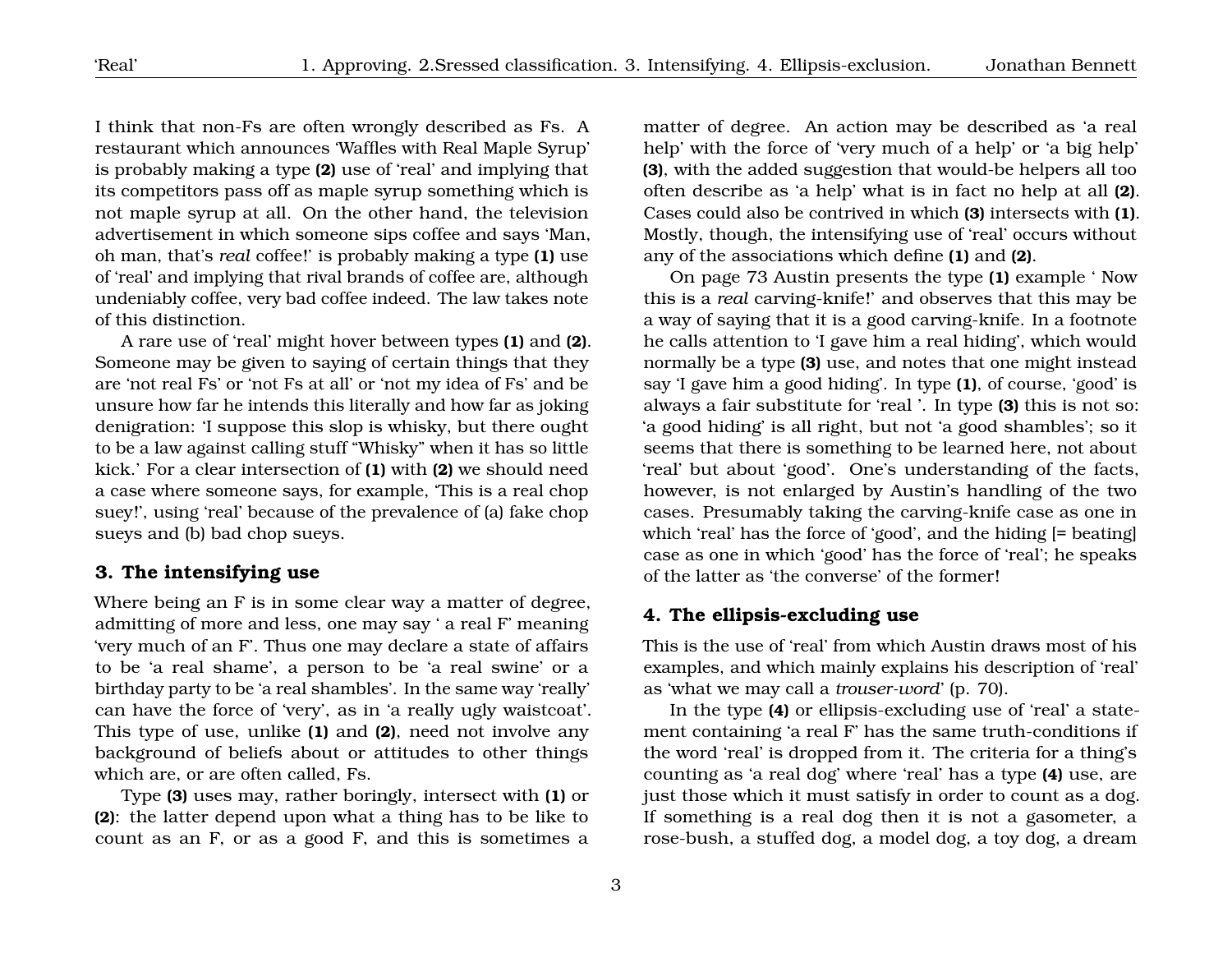I think that non-Fs are often wrongly described as Fs. A restaurant which announces 'Waffles with Real Maple Syrup' is probably making a type **(2)** use of 'real' and implying that its competitors pass off as maple syrup something which is not maple syrup at all. On the other hand, the television advertisement in which someone sips coffee and says 'Man, oh man, that's *real* coffee!' is probably making a type **(1)** use of 'real' and implying that rival brands of coffee are, although undeniably coffee, very bad coffee indeed. The law takes note of this distinction.

A rare use of 'real' might hover between types **(1)** and **(2)**. Someone may be given to saying of certain things that they are 'not real Fs' or 'not Fs at all' or 'not my idea of Fs' and be unsure how far he intends this literally and how far as joking denigration: 'I suppose this slop is whisky, but there ought to be a law against calling stuff "Whisky" when it has so little kick.' For a clear intersection of **(1)** with **(2)** we should need a case where someone says, for example, 'This is a real chop suey!', using 'real' because of the prevalence of (a) fake chop sueys and (b) bad chop sueys.

### **3. The intensifying use**

Where being an F is in some clear way a matter of degree, admitting of more and less, one may say ' a real F' meaning 'very much of an F'. Thus one may declare a state of affairs to be 'a real shame', a person to be 'a real swine' or a birthday party to be 'a real shambles'. In the same way 'really' can have the force of 'very', as in 'a really ugly waistcoat'. This type of use, unlike **(1)** and **(2)**, need not involve any background of beliefs about or attitudes to other things which are, or are often called, Fs.

Type **(3)** uses may, rather boringly, intersect with **(1)** or **(2)**: the latter depend upon what a thing has to be like to count as an F, or as a good F, and this is sometimes a matter of degree. An action may be described as 'a real help' with the force of 'very much of a help' or 'a big help' **(3)**, with the added suggestion that would-be helpers all too often describe as 'a help' what is in fact no help at all **(2)**. Cases could also be contrived in which **(3)** intersects with **(1)**. Mostly, though, the intensifying use of 'real' occurs without any of the associations which define **(1)** and **(2)**.

On page 73 Austin presents the type **(1)** example ' Now this is a *real* carving-knife!' and observes that this may be a way of saying that it is a good carving-knife. In a footnote he calls attention to 'I gave him a real hiding', which would normally be a type **(3)** use, and notes that one might instead say 'I gave him a good hiding'. In type **(1)**, of course, 'good' is always a fair substitute for 'real '. In type **(3)** this is not so: 'a good hiding' is all right, but not 'a good shambles'; so it seems that there is something to be learned here, not about 'real' but about 'good'. One's understanding of the facts, however, is not enlarged by Austin's handling of the two cases. Presumably taking the carving-knife case as one in which 'real' has the force of 'good', and the hiding [= beating] case as one in which 'good' has the force of 'real'; he speaks of the latter as 'the converse' of the former!

### **4. The ellipsis-excluding use**

This is the use of 'real' from which Austin draws most of his examples, and which mainly explains his description of 'real' as 'what we may call a *trouser-word*' (p. 70).

In the type **(4)** or ellipsis-excluding use of 'real' a statement containing 'a real F' has the same truth-conditions if the word 'real' is dropped from it. The criteria for a thing's counting as 'a real dog' where 'real' has a type **(4)** use, are just those which it must satisfy in order to count as a dog. If something is a real dog then it is not a gasometer, a rose-bush, a stuffed dog, a model dog, a toy dog, a dream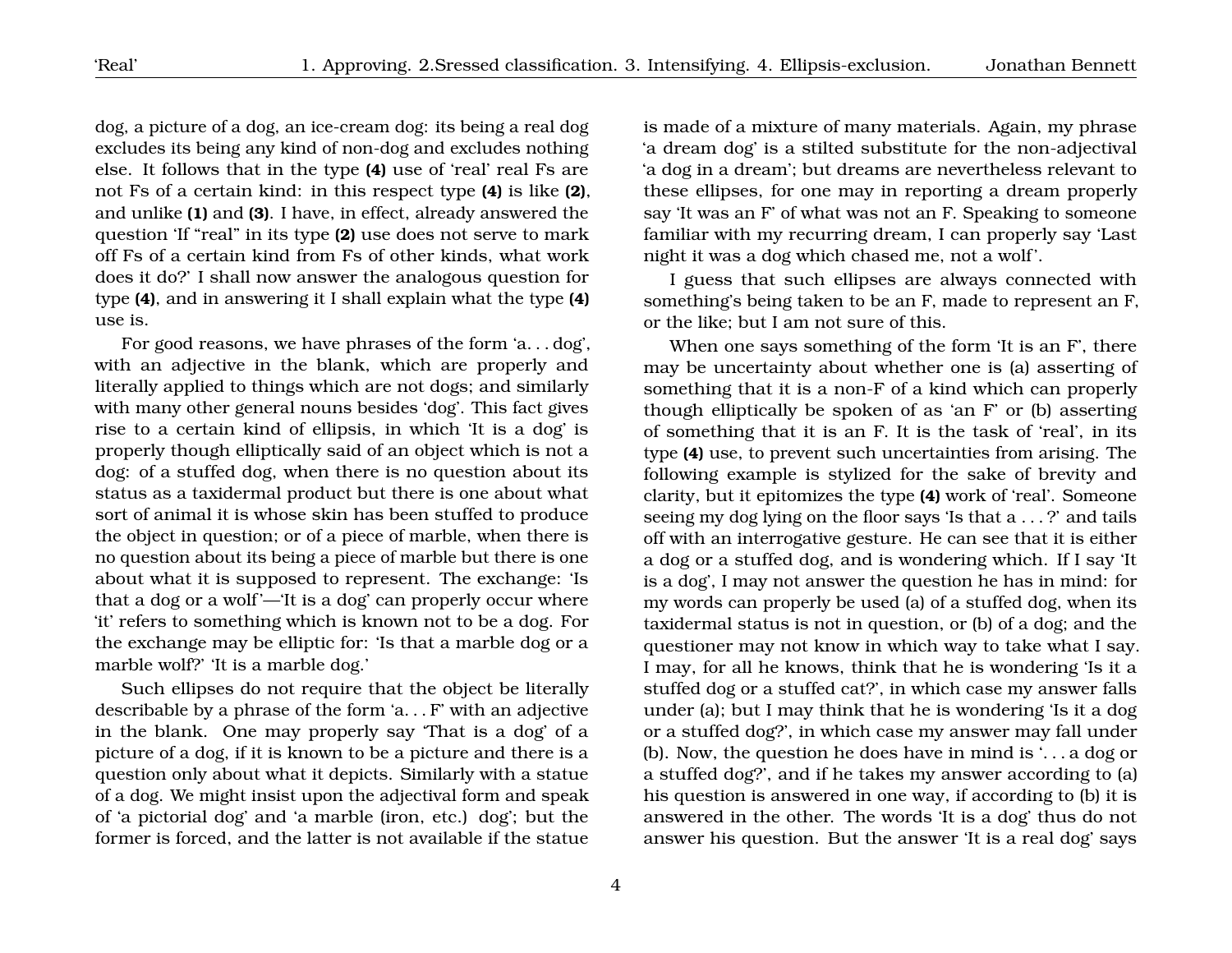dog, a picture of a dog, an ice-cream dog: its being a real dog excludes its being any kind of non-dog and excludes nothing else. It follows that in the type **(4)** use of 'real' real Fs are not Fs of a certain kind: in this respect type **(4)** is like **(2)**, and unlike **(1)** and **(3)**. I have, in effect, already answered the question 'If "real" in its type **(2)** use does not serve to mark off Fs of a certain kind from Fs of other kinds, what work does it do?' I shall now answer the analogous question for type **(4)**, and in answering it I shall explain what the type **(4)** use is.

For good reasons, we have phrases of the form 'a. . . dog', with an adjective in the blank, which are properly and literally applied to things which are not dogs; and similarly with many other general nouns besides 'dog'. This fact gives rise to a certain kind of ellipsis, in which 'It is a dog' is properly though elliptically said of an object which is not a dog: of a stuffed dog, when there is no question about its status as a taxidermal product but there is one about what sort of animal it is whose skin has been stuffed to produce the object in question; or of a piece of marble, when there is no question about its being a piece of marble but there is one about what it is supposed to represent. The exchange: 'Is that a dog or a wolf '—'It is a dog' can properly occur where 'it' refers to something which is known not to be a dog. For the exchange may be elliptic for: 'Is that a marble dog or a marble wolf?' 'It is a marble dog.'

Such ellipses do not require that the object be literally describable by a phrase of the form 'a. . . F' with an adjective in the blank. One may properly say 'That is a dog' of a picture of a dog, if it is known to be a picture and there is a question only about what it depicts. Similarly with a statue of a dog. We might insist upon the adjectival form and speak of 'a pictorial dog' and 'a marble (iron, etc.) dog'; but the former is forced, and the latter is not available if the statue

is made of a mixture of many materials. Again, my phrase 'a dream dog' is a stilted substitute for the non-adjectival 'a dog in a dream'; but dreams are nevertheless relevant to these ellipses, for one may in reporting a dream properly say 'It was an F' of what was not an F. Speaking to someone familiar with my recurring dream, I can properly say 'Last night it was a dog which chased me, not a wolf '.

I guess that such ellipses are always connected with something's being taken to be an F, made to represent an F, or the like; but I am not sure of this.

When one says something of the form 'It is an F', there may be uncertainty about whether one is (a) asserting of something that it is a non-F of a kind which can properly though elliptically be spoken of as 'an F' or (b) asserting of something that it is an F. It is the task of 'real', in its type **(4)** use, to prevent such uncertainties from arising. The following example is stylized for the sake of brevity and clarity, but it epitomizes the type **(4)** work of 'real'. Someone seeing my dog lying on the floor says 'Is that a . . . ?' and tails off with an interrogative gesture. He can see that it is either a dog or a stuffed dog, and is wondering which. If I say 'It is a dog', I may not answer the question he has in mind: for my words can properly be used (a) of a stuffed dog, when its taxidermal status is not in question, or (b) of a dog; and the questioner may not know in which way to take what I say. I may, for all he knows, think that he is wondering 'Is it a stuffed dog or a stuffed cat?', in which case my answer falls under (a); but I may think that he is wondering 'Is it a dog or a stuffed dog?', in which case my answer may fall under (b). Now, the question he does have in mind is '. . . a dog or a stuffed dog?', and if he takes my answer according to (a) his question is answered in one way, if according to (b) it is answered in the other. The words 'It is a dog' thus do not answer his question. But the answer 'It is a real dog' says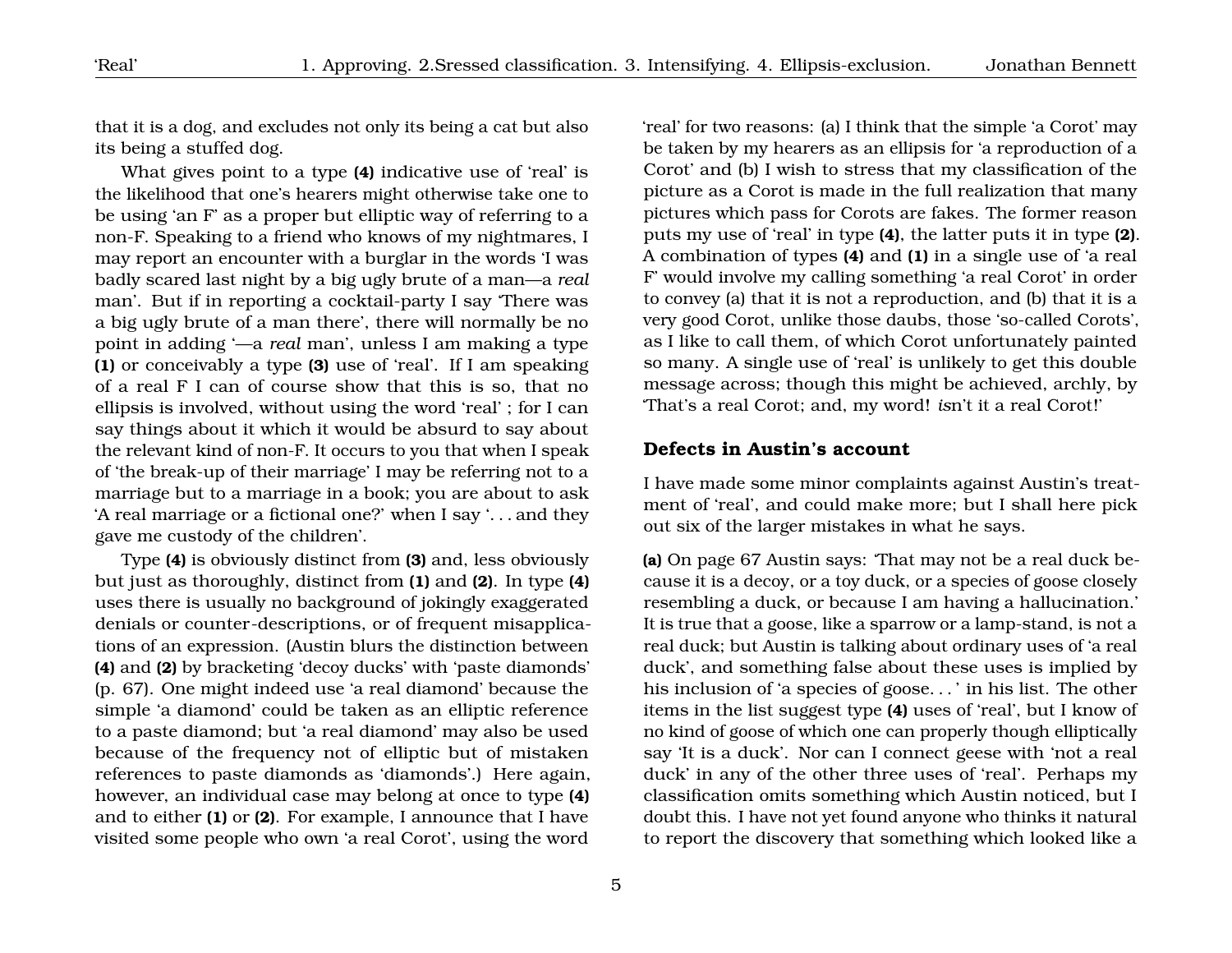that it is a dog, and excludes not only its being a cat but also its being a stuffed dog.

What gives point to a type **(4)** indicative use of 'real' is the likelihood that one's hearers might otherwise take one to be using 'an F' as a proper but elliptic way of referring to a non-F. Speaking to a friend who knows of my nightmares, I may report an encounter with a burglar in the words 'I was badly scared last night by a big ugly brute of a man—a *real* man'. But if in reporting a cocktail-party I say 'There was a big ugly brute of a man there', there will normally be no point in adding '—a *real* man', unless I am making a type **(1)** or conceivably a type **(3)** use of 'real'. If I am speaking of a real F I can of course show that this is so, that no ellipsis is involved, without using the word 'real' ; for I can say things about it which it would be absurd to say about the relevant kind of non-F. It occurs to you that when I speak of 'the break-up of their marriage' I may be referring not to a marriage but to a marriage in a book; you are about to ask 'A real marriage or a fictional one?' when I say '. . . and they gave me custody of the children'.

Type **(4)** is obviously distinct from **(3)** and, less obviously but just as thoroughly, distinct from **(1)** and **(2)**. In type **(4)** uses there is usually no background of jokingly exaggerated denials or counter-descriptions, or of frequent misapplications of an expression. (Austin blurs the distinction between **(4)** and **(2)** by bracketing 'decoy ducks' with 'paste diamonds' (p. 67). One might indeed use 'a real diamond' because the simple 'a diamond' could be taken as an elliptic reference to a paste diamond; but 'a real diamond' may also be used because of the frequency not of elliptic but of mistaken references to paste diamonds as 'diamonds'.) Here again, however, an individual case may belong at once to type **(4)** and to either **(1)** or **(2)**. For example, I announce that I have visited some people who own 'a real Corot', using the word

'real' for two reasons: (a) I think that the simple 'a Corot' may be taken by my hearers as an ellipsis for 'a reproduction of a Corot' and (b) I wish to stress that my classification of the picture as a Corot is made in the full realization that many pictures which pass for Corots are fakes. The former reason puts my use of 'real' in type **(4)**, the latter puts it in type **(2)**. A combination of types **(4)** and **(1)** in a single use of 'a real F' would involve my calling something 'a real Corot' in order to convey (a) that it is not a reproduction, and (b) that it is a very good Corot, unlike those daubs, those 'so-called Corots', as I like to call them, of which Corot unfortunately painted so many. A single use of 'real' is unlikely to get this double message across; though this might be achieved, archly, by 'That's a real Corot; and, my word! *is*n't it a real Corot!'

#### **Defects in Austin's account**

I have made some minor complaints against Austin's treatment of 'real', and could make more; but I shall here pick out six of the larger mistakes in what he says.

**(a)** On page 67 Austin says: 'That may not be a real duck because it is a decoy, or a toy duck, or a species of goose closely resembling a duck, or because I am having a hallucination.' It is true that a goose, like a sparrow or a lamp-stand, is not a real duck; but Austin is talking about ordinary uses of 'a real duck', and something false about these uses is implied by his inclusion of 'a species of goose. . . ' in his list. The other items in the list suggest type **(4)** uses of 'real', but I know of no kind of goose of which one can properly though elliptically say 'It is a duck'. Nor can I connect geese with 'not a real duck' in any of the other three uses of 'real'. Perhaps my classification omits something which Austin noticed, but I doubt this. I have not yet found anyone who thinks it natural to report the discovery that something which looked like a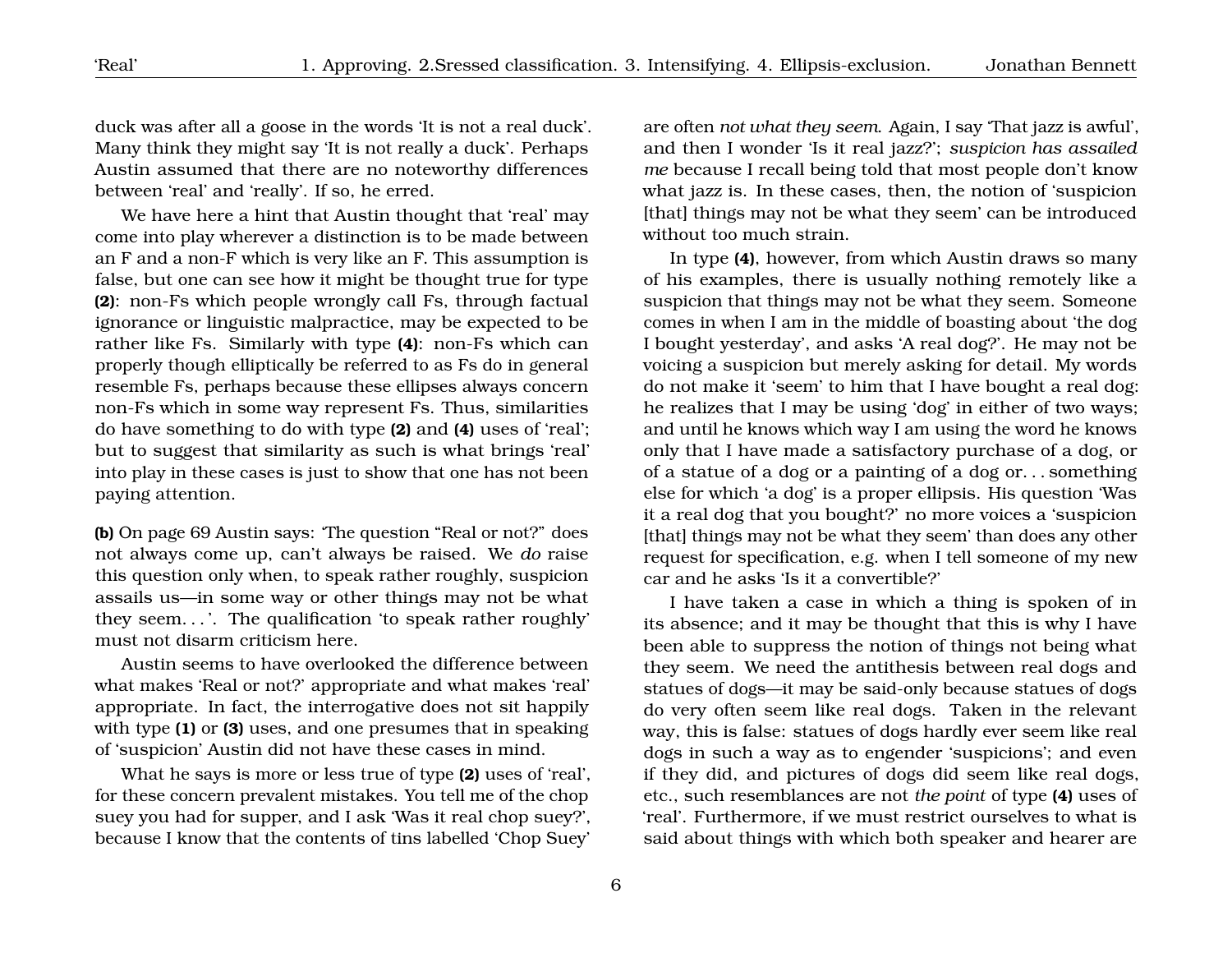duck was after all a goose in the words 'It is not a real duck'. Many think they might say 'It is not really a duck'. Perhaps Austin assumed that there are no noteworthy differences between 'real' and 'really'. If so, he erred.

We have here a hint that Austin thought that 'real' may come into play wherever a distinction is to be made between an F and a non-F which is very like an F. This assumption is false, but one can see how it might be thought true for type **(2)**: non-Fs which people wrongly call Fs, through factual ignorance or linguistic malpractice, may be expected to be rather like Fs. Similarly with type **(4)**: non-Fs which can properly though elliptically be referred to as Fs do in general resemble Fs, perhaps because these ellipses always concern non-Fs which in some way represent Fs. Thus, similarities do have something to do with type **(2)** and **(4)** uses of 'real'; but to suggest that similarity as such is what brings 'real' into play in these cases is just to show that one has not been paying attention.

**(b)** On page 69 Austin says: 'The question "Real or not?" does not always come up, can't always be raised. We *do* raise this question only when, to speak rather roughly, suspicion assails us—in some way or other things may not be what they seem...'. The qualification 'to speak rather roughly' must not disarm criticism here.

Austin seems to have overlooked the difference between what makes 'Real or not?' appropriate and what makes 'real' appropriate. In fact, the interrogative does not sit happily with type **(1)** or **(3)** uses, and one presumes that in speaking of 'suspicion' Austin did not have these cases in mind.

What he says is more or less true of type **(2)** uses of 'real', for these concern prevalent mistakes. You tell me of the chop suey you had for supper, and I ask 'Was it real chop suey?', because I know that the contents of tins labelled 'Chop Suey'

are often *not what they seem*. Again, I say 'That jazz is awful', and then I wonder 'Is it real jazz?'; *suspicion has assailed me* because I recall being told that most people don't know what jazz is. In these cases, then, the notion of 'suspicion [that] things may not be what they seem' can be introduced without too much strain.

In type **(4)**, however, from which Austin draws so many of his examples, there is usually nothing remotely like a suspicion that things may not be what they seem. Someone comes in when I am in the middle of boasting about 'the dog I bought yesterday', and asks 'A real dog?'. He may not be voicing a suspicion but merely asking for detail. My words do not make it 'seem' to him that I have bought a real dog: he realizes that I may be using 'dog' in either of two ways; and until he knows which way I am using the word he knows only that I have made a satisfactory purchase of a dog, or of a statue of a dog or a painting of a dog or. . . something else for which 'a dog' is a proper ellipsis. His question 'Was it a real dog that you bought?' no more voices a 'suspicion [that] things may not be what they seem' than does any other request for specification, e.g. when I tell someone of my new car and he asks 'Is it a convertible?'

I have taken a case in which a thing is spoken of in its absence; and it may be thought that this is why I have been able to suppress the notion of things not being what they seem. We need the antithesis between real dogs and statues of dogs—it may be said-only because statues of dogs do very often seem like real dogs. Taken in the relevant way, this is false: statues of dogs hardly ever seem like real dogs in such a way as to engender 'suspicions'; and even if they did, and pictures of dogs did seem like real dogs, etc., such resemblances are not *the point* of type **(4)** uses of 'real'. Furthermore, if we must restrict ourselves to what is said about things with which both speaker and hearer are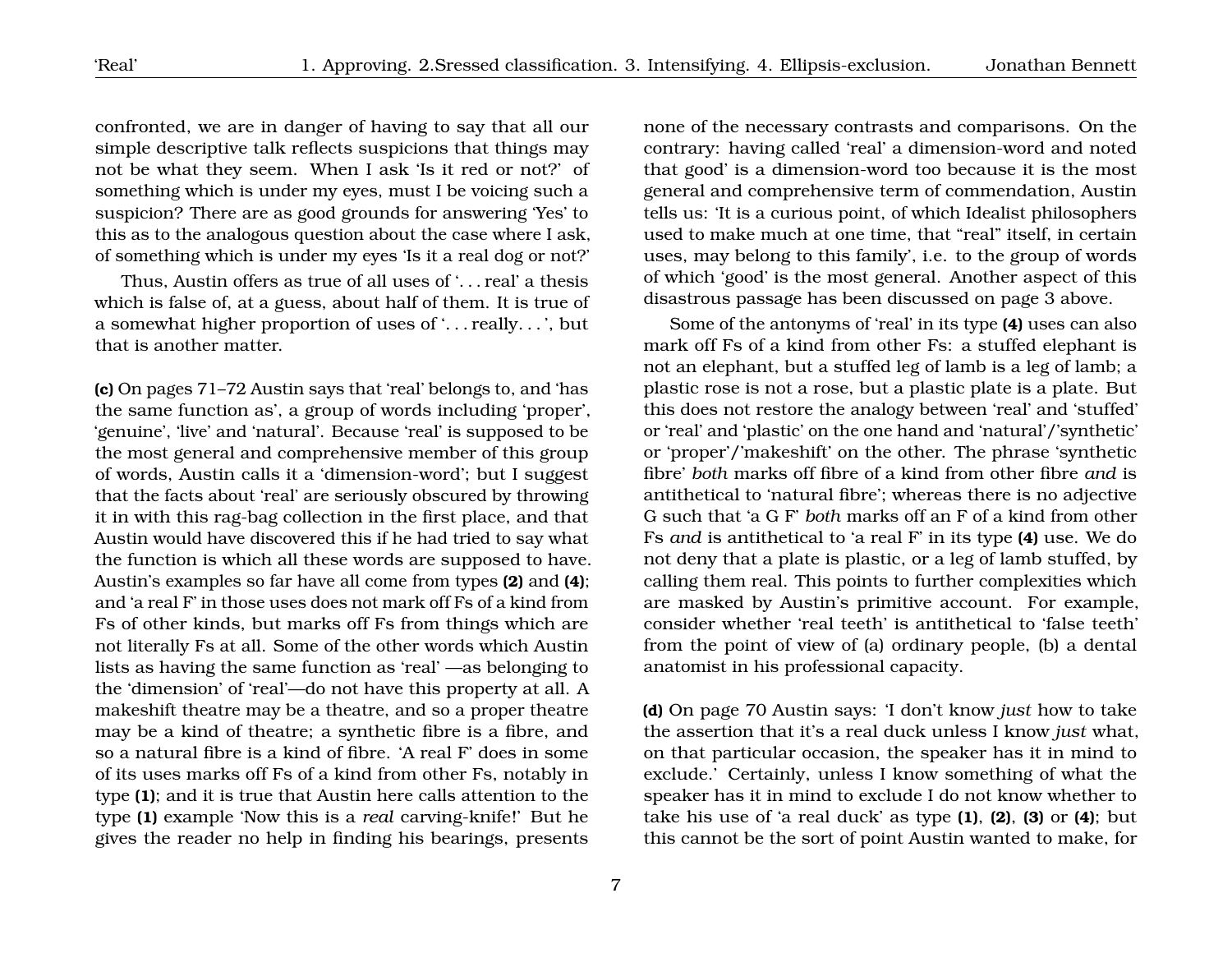confronted, we are in danger of having to say that all our simple descriptive talk reflects suspicions that things may not be what they seem. When I ask 'Is it red or not?' of something which is under my eyes, must I be voicing such a suspicion? There are as good grounds for answering 'Yes' to this as to the analogous question about the case where I ask, of something which is under my eyes 'Is it a real dog or not?'

Thus, Austin offers as true of all uses of '. . . real' a thesis which is false of, at a guess, about half of them. It is true of a somewhat higher proportion of uses of '. . . really. . . ', but that is another matter.

**(c)** On pages 71–72 Austin says that 'real' belongs to, and 'has the same function as', a group of words including 'proper', 'genuine', 'live' and 'natural'. Because 'real' is supposed to be the most general and comprehensive member of this group of words, Austin calls it a 'dimension-word'; but I suggest that the facts about 'real' are seriously obscured by throwing it in with this rag-bag collection in the first place, and that Austin would have discovered this if he had tried to say what the function is which all these words are supposed to have. Austin's examples so far have all come from types **(2)** and **(4)**; and 'a real F' in those uses does not mark off Fs of a kind from Fs of other kinds, but marks off Fs from things which are not literally Fs at all. Some of the other words which Austin lists as having the same function as 'real' —as belonging to the 'dimension' of 'real'—do not have this property at all. A makeshift theatre may be a theatre, and so a proper theatre may be a kind of theatre; a synthetic fibre is a fibre, and so a natural fibre is a kind of fibre. 'A real F' does in some of its uses marks off Fs of a kind from other Fs, notably in type **(1)**; and it is true that Austin here calls attention to the type **(1)** example 'Now this is a *real* carving-knife!' But he gives the reader no help in finding his bearings, presents

none of the necessary contrasts and comparisons. On the contrary: having called 'real' a dimension-word and noted that good' is a dimension-word too because it is the most general and comprehensive term of commendation, Austin tells us: 'It is a curious point, of which Idealist philosophers used to make much at one time, that "real" itself, in certain uses, may belong to this family', i.e. to the group of words of which 'good' is the most general. Another aspect of this disastrous passage has been discussed on page 3 above.

Some of the antonyms of 'real' in its type **(4)** uses can also mark off Fs of a kind from other Fs: a stuffed elephant is not an elephant, but a stuffed leg of lamb is a leg of lamb; a plastic rose is not a rose, but a plastic plate is a plate. But this does not restore the analogy between 'real' and 'stuffed' or 'real' and 'plastic' on the one hand and 'natural'/'synthetic' or 'proper'/'makeshift' on the other. The phrase 'synthetic fibre' *both* marks off fibre of a kind from other fibre *and* is antithetical to 'natural fibre'; whereas there is no adjective G such that 'a G F' *both* marks off an F of a kind from other Fs *and* is antithetical to 'a real F' in its type **(4)** use. We do not deny that a plate is plastic, or a leg of lamb stuffed, by calling them real. This points to further complexities which are masked by Austin's primitive account. For example, consider whether 'real teeth' is antithetical to 'false teeth' from the point of view of (a) ordinary people, (b) a dental anatomist in his professional capacity.

**(d)** On page 70 Austin says: 'I don't know *just* how to take the assertion that it's a real duck unless I know *just* what, on that particular occasion, the speaker has it in mind to exclude.' Certainly, unless I know something of what the speaker has it in mind to exclude I do not know whether to take his use of 'a real duck' as type **(1)**, **(2)**, **(3)** or **(4)**; but this cannot be the sort of point Austin wanted to make, for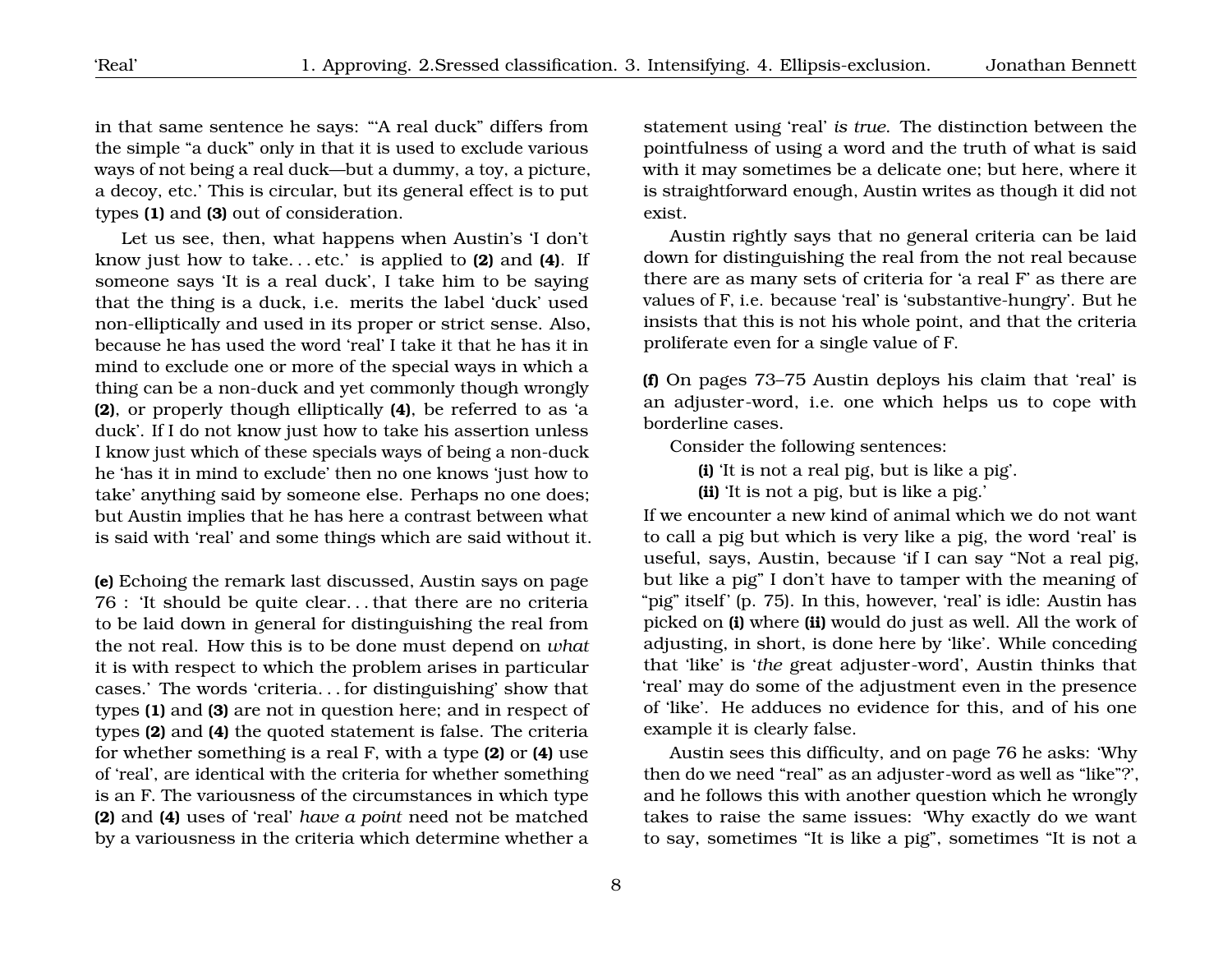in that same sentence he says: "'A real duck" differs from the simple "a duck" only in that it is used to exclude various ways of not being a real duck—but a dummy, a toy, a picture, a decoy, etc.' This is circular, but its general effect is to put types **(1)** and **(3)** out of consideration.

Let us see, then, what happens when Austin's 'I don't know just how to take. . . etc.' is applied to **(2)** and **(4)**. If someone says 'It is a real duck', I take him to be saying that the thing is a duck, i.e. merits the label 'duck' used non-elliptically and used in its proper or strict sense. Also, because he has used the word 'real' I take it that he has it in mind to exclude one or more of the special ways in which a thing can be a non-duck and yet commonly though wrongly **(2)**, or properly though elliptically **(4)**, be referred to as 'a duck'. If I do not know just how to take his assertion unless I know just which of these specials ways of being a non-duck he 'has it in mind to exclude' then no one knows 'just how to take' anything said by someone else. Perhaps no one does; but Austin implies that he has here a contrast between what is said with 'real' and some things which are said without it.

**(e)** Echoing the remark last discussed, Austin says on page 76 : 'It should be quite clear. . . that there are no criteria to be laid down in general for distinguishing the real from the not real. How this is to be done must depend on *what* it is with respect to which the problem arises in particular cases.' The words 'criteria. . . for distinguishing' show that types **(1)** and **(3)** are not in question here; and in respect of types **(2)** and **(4)** the quoted statement is false. The criteria for whether something is a real F, with a type **(2)** or **(4)** use of 'real', are identical with the criteria for whether something is an F. The variousness of the circumstances in which type **(2)** and **(4)** uses of 'real' *have a point* need not be matched by a variousness in the criteria which determine whether a

statement using 'real' *is true*. The distinction between the pointfulness of using a word and the truth of what is said with it may sometimes be a delicate one; but here, where it is straightforward enough, Austin writes as though it did not exist.

Austin rightly says that no general criteria can be laid down for distinguishing the real from the not real because there are as many sets of criteria for 'a real F' as there are values of F, i.e. because 'real' is 'substantive-hungry'. But he insists that this is not his whole point, and that the criteria proliferate even for a single value of F.

**(f)** On pages 73–75 Austin deploys his claim that 'real' is an adjuster-word, i.e. one which helps us to cope with borderline cases.

Consider the following sentences:

**(i)** 'It is not a real pig, but is like a pig'.

**(ii)** 'It is not a pig, but is like a pig.'

If we encounter a new kind of animal which we do not want to call a pig but which is very like a pig, the word 'real' is useful, says, Austin, because 'if I can say "Not a real pig, but like a pig" I don't have to tamper with the meaning of "pig" itself (p. 75). In this, however, 'real' is idle: Austin has picked on **(i)** where **(ii)** would do just as well. All the work of adjusting, in short, is done here by 'like'. While conceding that 'like' is '*the* great adjuster-word', Austin thinks that 'real' may do some of the adjustment even in the presence of 'like'. He adduces no evidence for this, and of his one example it is clearly false.

Austin sees this difficulty, and on page 76 he asks: 'Why then do we need "real" as an adjuster-word as well as "like"?', and he follows this with another question which he wrongly takes to raise the same issues: 'Why exactly do we want to say, sometimes "It is like a pig", sometimes "It is not a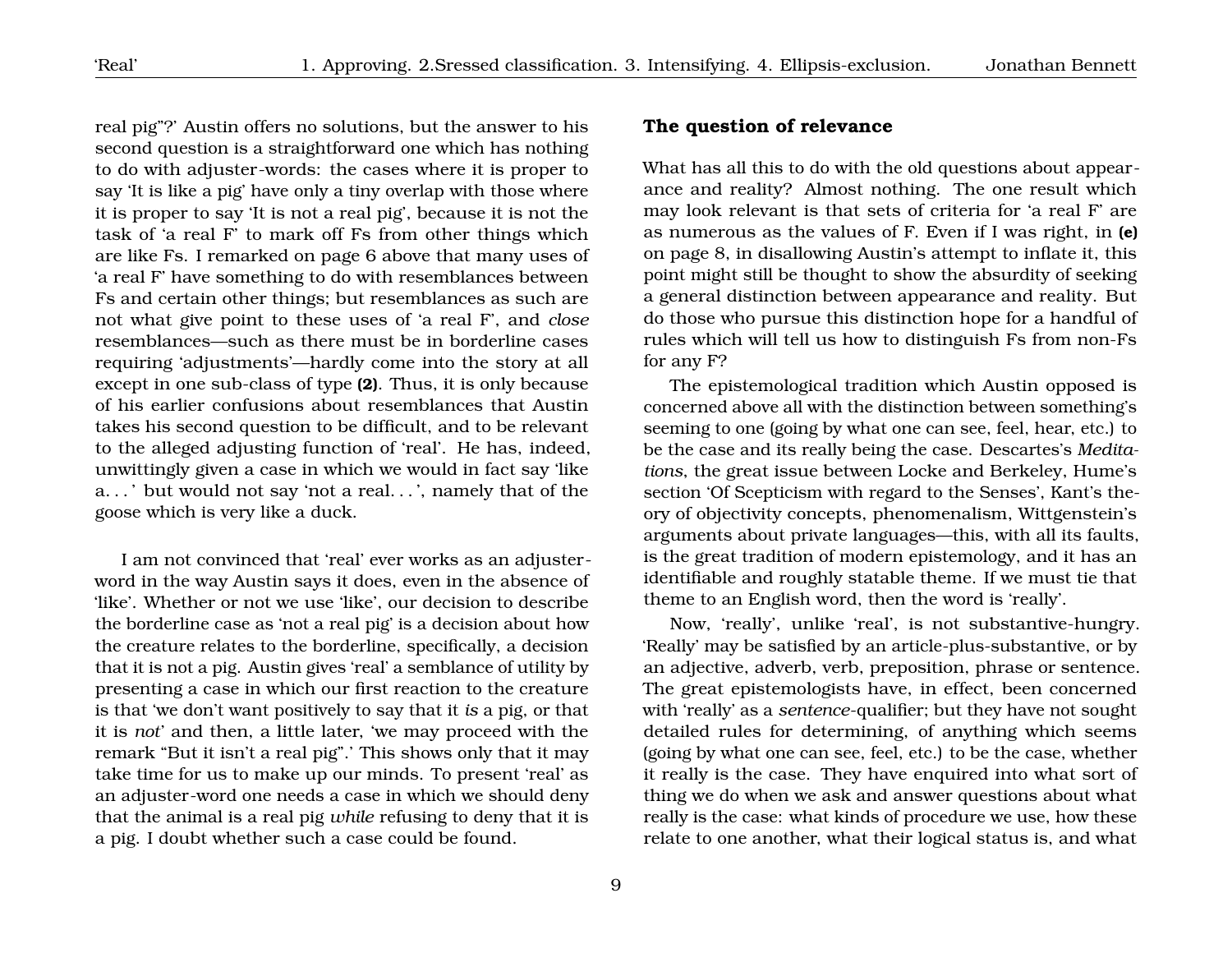real pig"?' Austin offers no solutions, but the answer to his second question is a straightforward one which has nothing to do with adjuster-words: the cases where it is proper to say 'It is like a pig' have only a tiny overlap with those where it is proper to say 'It is not a real pig', because it is not the task of 'a real F' to mark off Fs from other things which are like Fs. I remarked on page 6 above that many uses of 'a real F' have something to do with resemblances between Fs and certain other things; but resemblances as such are not what give point to these uses of 'a real F', and *close* resemblances—such as there must be in borderline cases requiring 'adjustments'—hardly come into the story at all except in one sub-class of type **(2)**. Thus, it is only because of his earlier confusions about resemblances that Austin takes his second question to be difficult, and to be relevant to the alleged adjusting function of 'real'. He has, indeed, unwittingly given a case in which we would in fact say 'like a. . . ' but would not say 'not a real. . . ', namely that of the goose which is very like a duck.

I am not convinced that 'real' ever works as an adjusterword in the way Austin says it does, even in the absence of 'like'. Whether or not we use 'like', our decision to describe the borderline case as 'not a real pig' is a decision about how the creature relates to the borderline, specifically, a decision that it is not a pig. Austin gives 'real' a semblance of utility by presenting a case in which our first reaction to the creature is that 'we don't want positively to say that it *is* a pig, or that it is *not*' and then, a little later, 'we may proceed with the remark "But it isn't a real pig".' This shows only that it may take time for us to make up our minds. To present 'real' as an adjuster-word one needs a case in which we should deny that the animal is a real pig *while* refusing to deny that it is a pig. I doubt whether such a case could be found.

### **The question of relevance**

What has all this to do with the old questions about appearance and reality? Almost nothing. The one result which may look relevant is that sets of criteria for 'a real F' are as numerous as the values of F. Even if I was right, in **(e)** on page 8, in disallowing Austin's attempt to inflate it, this point might still be thought to show the absurdity of seeking a general distinction between appearance and reality. But do those who pursue this distinction hope for a handful of rules which will tell us how to distinguish Fs from non-Fs for any F?

The epistemological tradition which Austin opposed is concerned above all with the distinction between something's seeming to one (going by what one can see, feel, hear, etc.) to be the case and its really being the case. Descartes's *Meditations*, the great issue between Locke and Berkeley, Hume's section 'Of Scepticism with regard to the Senses', Kant's theory of objectivity concepts, phenomenalism, Wittgenstein's arguments about private languages—this, with all its faults, is the great tradition of modern epistemology, and it has an identifiable and roughly statable theme. If we must tie that theme to an English word, then the word is 'really'.

Now, 'really', unlike 'real', is not substantive-hungry. 'Really' may be satisfied by an article-plus-substantive, or by an adjective, adverb, verb, preposition, phrase or sentence. The great epistemologists have, in effect, been concerned with 'really' as a *sentence*-qualifier; but they have not sought detailed rules for determining, of anything which seems (going by what one can see, feel, etc.) to be the case, whether it really is the case. They have enquired into what sort of thing we do when we ask and answer questions about what really is the case: what kinds of procedure we use, how these relate to one another, what their logical status is, and what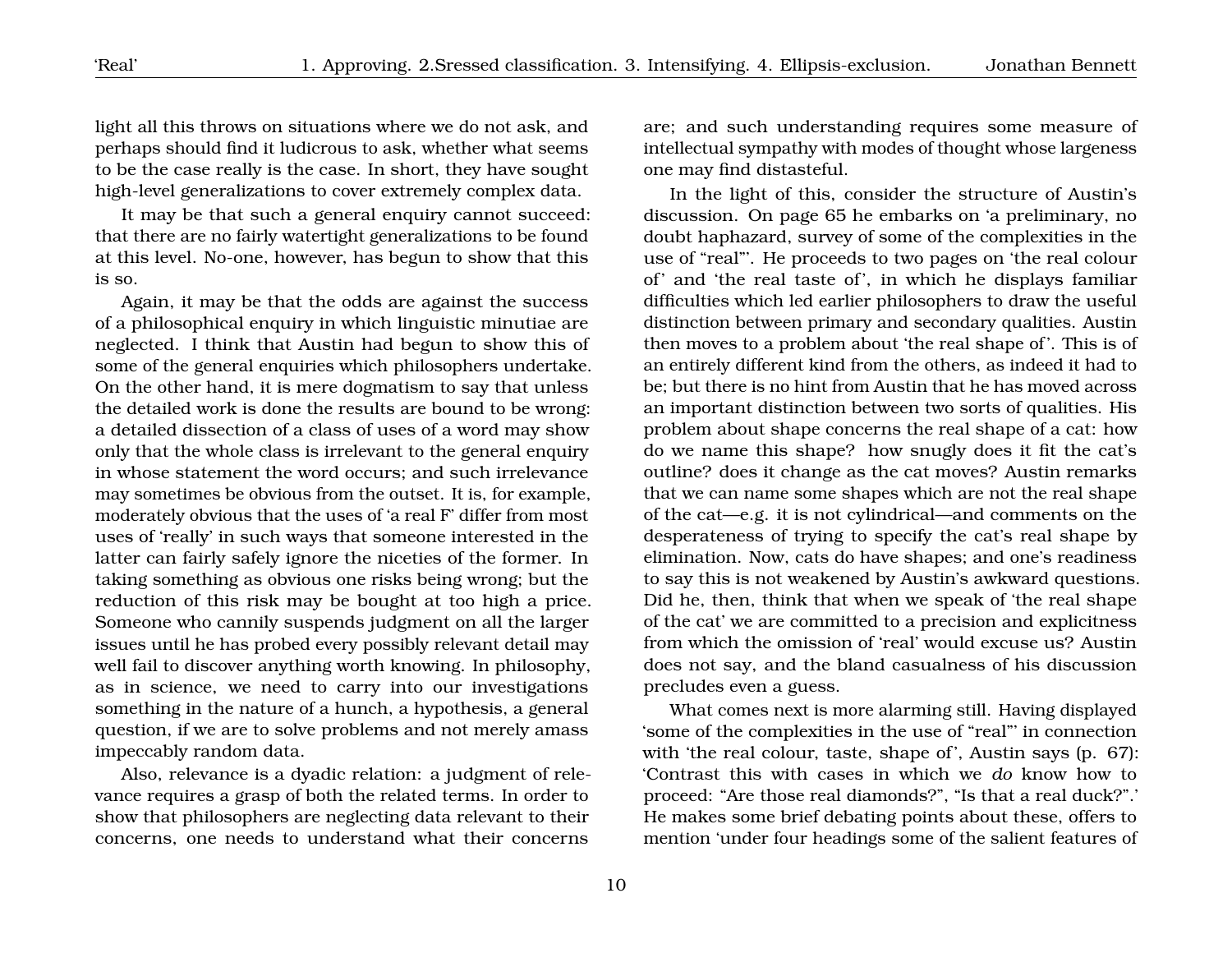light all this throws on situations where we do not ask, and perhaps should find it ludicrous to ask, whether what seems to be the case really is the case. In short, they have sought high-level generalizations to cover extremely complex data.

It may be that such a general enquiry cannot succeed: that there are no fairly watertight generalizations to be found at this level. No-one, however, has begun to show that this is so.

Again, it may be that the odds are against the success of a philosophical enquiry in which linguistic minutiae are neglected. I think that Austin had begun to show this of some of the general enquiries which philosophers undertake. On the other hand, it is mere dogmatism to say that unless the detailed work is done the results are bound to be wrong: a detailed dissection of a class of uses of a word may show only that the whole class is irrelevant to the general enquiry in whose statement the word occurs; and such irrelevance may sometimes be obvious from the outset. It is, for example, moderately obvious that the uses of 'a real F' differ from most uses of 'really' in such ways that someone interested in the latter can fairly safely ignore the niceties of the former. In taking something as obvious one risks being wrong; but the reduction of this risk may be bought at too high a price. Someone who cannily suspends judgment on all the larger issues until he has probed every possibly relevant detail may well fail to discover anything worth knowing. In philosophy, as in science, we need to carry into our investigations something in the nature of a hunch, a hypothesis, a general question, if we are to solve problems and not merely amass impeccably random data.

Also, relevance is a dyadic relation: a judgment of relevance requires a grasp of both the related terms. In order to show that philosophers are neglecting data relevant to their concerns, one needs to understand what their concerns

are; and such understanding requires some measure of intellectual sympathy with modes of thought whose largeness one may find distasteful.

In the light of this, consider the structure of Austin's discussion. On page 65 he embarks on 'a preliminary, no doubt haphazard, survey of some of the complexities in the use of "real"'. He proceeds to two pages on 'the real colour of' and 'the real taste of', in which he displays familiar difficulties which led earlier philosophers to draw the useful distinction between primary and secondary qualities. Austin then moves to a problem about 'the real shape of '. This is of an entirely different kind from the others, as indeed it had to be; but there is no hint from Austin that he has moved across an important distinction between two sorts of qualities. His problem about shape concerns the real shape of a cat: how do we name this shape? how snugly does it fit the cat's outline? does it change as the cat moves? Austin remarks that we can name some shapes which are not the real shape of the cat—e.g. it is not cylindrical—and comments on the desperateness of trying to specify the cat's real shape by elimination. Now, cats do have shapes; and one's readiness to say this is not weakened by Austin's awkward questions. Did he, then, think that when we speak of 'the real shape of the cat' we are committed to a precision and explicitness from which the omission of 'real' would excuse us? Austin does not say, and the bland casualness of his discussion precludes even a guess.

What comes next is more alarming still. Having displayed 'some of the complexities in the use of "real"' in connection with 'the real colour, taste, shape of', Austin says (p. 67): 'Contrast this with cases in which we *do* know how to proceed: "Are those real diamonds?", "Is that a real duck?".' He makes some brief debating points about these, offers to mention 'under four headings some of the salient features of